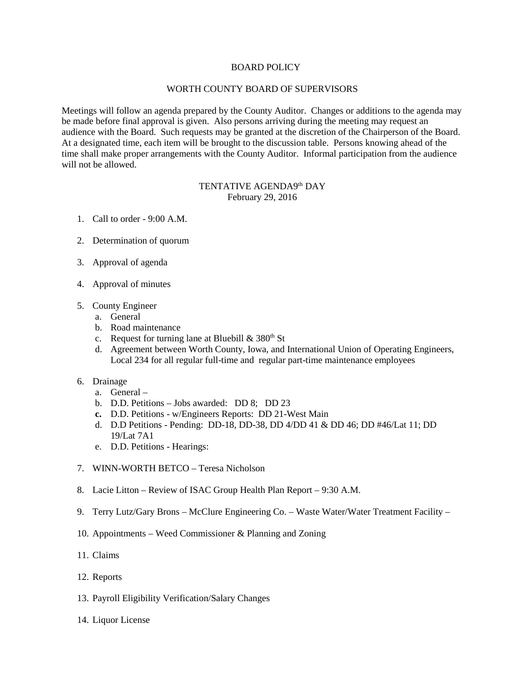## BOARD POLICY

## WORTH COUNTY BOARD OF SUPERVISORS

Meetings will follow an agenda prepared by the County Auditor. Changes or additions to the agenda may be made before final approval is given. Also persons arriving during the meeting may request an audience with the Board. Such requests may be granted at the discretion of the Chairperson of the Board. At a designated time, each item will be brought to the discussion table. Persons knowing ahead of the time shall make proper arrangements with the County Auditor. Informal participation from the audience will not be allowed.

## TENTATIVE AGENDA9th DAY February 29, 2016

- 1. Call to order 9:00 A.M.
- 2. Determination of quorum
- 3. Approval of agenda
- 4. Approval of minutes
- 5. County Engineer
	- a. General
	- b. Road maintenance
	- c. Request for turning lane at Bluebill  $& 380<sup>th</sup>$  St
	- d. Agreement between Worth County, Iowa, and International Union of Operating Engineers, Local 234 for all regular full-time and regular part-time maintenance employees
- 6. Drainage
	- a. General –
	- b. D.D. Petitions Jobs awarded: DD 8; DD 23
	- **c.** D.D. Petitions w/Engineers Reports: DD 21-West Main
	- d. D.D Petitions Pending: DD-18, DD-38, DD 4/DD 41 & DD 46; DD #46/Lat 11; DD 19/Lat 7A1
	- e. D.D. Petitions Hearings:
- 7. WINN-WORTH BETCO Teresa Nicholson
- 8. Lacie Litton Review of ISAC Group Health Plan Report 9:30 A.M.
- 9. Terry Lutz/Gary Brons McClure Engineering Co. Waste Water/Water Treatment Facility –
- 10. Appointments Weed Commissioner & Planning and Zoning
- 11. Claims
- 12. Reports
- 13. Payroll Eligibility Verification/Salary Changes
- 14. Liquor License